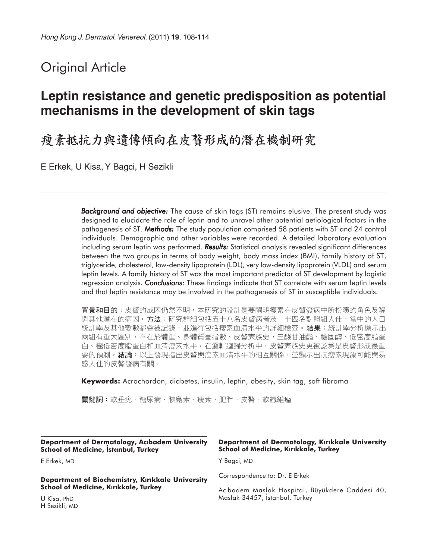# Original Article

# **Leptin resistance and genetic predisposition as potential mechanisms in the development of skin tags**

## 瘦素抵抗力與遺傳傾向在皮贅形成的潛在機制研究

E Erkek, U Kisa, Y Bagci, H Sezikli

**Background and objective:** The cause of skin tags (ST) remains elusive. The present study was designed to elucidate the role of leptin and to unravel other potential aetiological factors in the pathogenesis of ST. *Methods:* The study population comprised 58 patients with ST and 24 control individuals. Demographic and other variables were recorded. A detailed laboratory evaluation including serum leptin was performed. **Results:** Statistical analysis revealed significant differences between the two groups in terms of body weight, body mass index (BMI), family history of ST, triglyceride, cholesterol, low-density lipoprotein (LDL), very low-density lipoprotein (VLDL) and serum leptin levels. A family history of ST was the most important predictor of ST development by logistic regression analysis. *Conclusions: Conclusions:* These findings indicate that ST correlate with serum leptin levels and that leptin resistance may be involved in the pathogenesis of ST in susceptible individuals.

背景和目的:皮贅的成因仍然不明,本研究的設計是要闡明瘦素在皮贅發病中所扮演的角色及解 開其他潛在的病因。**方法:**研究群組包括五十八名皮贅病者及二十四名對照組人仕,當中的人口 統計學及其他變數都會被記錄,並進行包括瘦素血清水平的詳細檢查。**結果:**統計學分析顯示出 兩組有重大區別,存在於體重、身體質量指數、皮贅家族史,三酸甘油酯、膽固醇、低密度脂蛋 白、極低密度脂蛋白和血清瘦素水平。在邏輯迴歸分析中,皮贅家族史更被認爲是皮贅形成最重 要的預測。**結論:**以上發現指出皮贅與瘦素血清水平的相互關係,並顯示出抗瘦素現象可能與易 感人仕的皮贅發病有關。

**Keywords:** Acrochordon, diabetes, insulin, leptin, obesity, skin tag, soft fibroma

關鍵詞:軟垂疣,糖尿病,胰島素,瘦素,肥胖,皮贅,軟纖維瘤

**Department of Dermatology, Aclbadem University School of Medicine, istanbul, Turkey**

E Erkek, MD

**Department of Biochemistry, Klrlkkale University School of Medicine, Kırıkkale, Turkey** 

U Kisa, PhD H Sezikli, MD

#### **Department of Dermatology, Klrlkkale University School of Medicine, Kırıkkale, Turkey**

Y Bagci, MD

Correspondence to: Dr. E Erkek

Aclbadem Maslak Hospital, Büyükdere Caddesi 40, Maslak 34457, istanbul, Turkey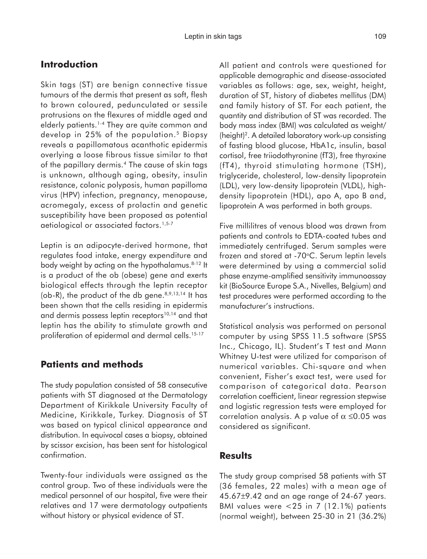### **Introduction**

Skin tags (ST) are benign connective tissue tumours of the dermis that present as soft, flesh to brown coloured, pedunculated or sessile protrusions on the flexures of middle aged and elderly patients.1-4 They are quite common and develop in 25% of the population.<sup>5</sup> Biopsy reveals a papillomatous acanthotic epidermis overlying a loose fibrous tissue similar to that of the papillary dermis.4 The cause of skin tags is unknown, although aging, obesity, insulin resistance, colonic polyposis, human papilloma virus (HPV) infection, pregnancy, menopause, acromegaly, excess of prolactin and genetic susceptibility have been proposed as potential aetiological or associated factors.<sup>1,5-7</sup>

Leptin is an adipocyte-derived hormone, that regulates food intake, energy expenditure and body weight by acting on the hypothalamus.<sup>8-12</sup> It is a product of the ob (obese) gene and exerts biological effects through the leptin receptor (ob-R), the product of the db gene. $8,9,13,14$  It has been shown that the cells residing in epidermis and dermis possess leptin receptors<sup>10,14</sup> and that leptin has the ability to stimulate growth and proliferation of epidermal and dermal cells.<sup>15-17</sup>

#### **Patients and methods**

The study population consisted of 58 consecutive patients with ST diagnosed at the Dermatology Department of Kirikkale University Faculty of Medicine, Kirikkale, Turkey. Diagnosis of ST was based on typical clinical appearance and distribution. In equivocal cases a biopsy, obtained by scissor excision, has been sent for histological confirmation.

Twenty-four individuals were assigned as the control group. Two of these individuals were the medical personnel of our hospital, five were their relatives and 17 were dermatology outpatients without history or physical evidence of ST.

All patient and controls were questioned for applicable demographic and disease-associated variables as follows: age, sex, weight, height, duration of ST, history of diabetes mellitus (DM) and family history of ST. For each patient, the quantity and distribution of ST was recorded. The body mass index (BMI) was calculated as weight/ (height)2. A detailed laboratory work-up consisting of fasting blood glucose, HbA1c, insulin, basal cortisol, free triiodothyronine (fT3), free thyroxine (fT4), thyroid stimulating hormone (TSH), triglyceride, cholesterol, low-density lipoprotein (LDL), very low-density lipoprotein (VLDL), highdensity lipoprotein (HDL), apo A, apo B and, lipoprotein A was performed in both groups.

Five millilitres of venous blood was drawn from patients and controls to EDTA-coated tubes and immediately centrifuged. Serum samples were frozen and stored at -70°C. Serum leptin levels were determined by using a commercial solid phase enzyme-amplified sensitivity immunoassay kit (BioSource Europe S.A., Nivelles, Belgium) and test procedures were performed according to the manufacturer's instructions.

Statistical analysis was performed on personal computer by using SPSS 11.5 software (SPSS Inc., Chicago, IL). Student's T test and Mann Whitney U-test were utilized for comparison of numerical variables. Chi-square and when convenient, Fisher's exact test, were used for comparison of categorical data. Pearson correlation coefficient, linear regression stepwise and logistic regression tests were employed for correlation analysis. A p value of  $\alpha \leq 0.05$  was considered as significant.

#### **Results**

The study group comprised 58 patients with ST (36 females, 22 males) with a mean age of 45.67±9.42 and an age range of 24-67 years. BMI values were <25 in 7 (12.1%) patients (normal weight), between 25-30 in 21 (36.2%)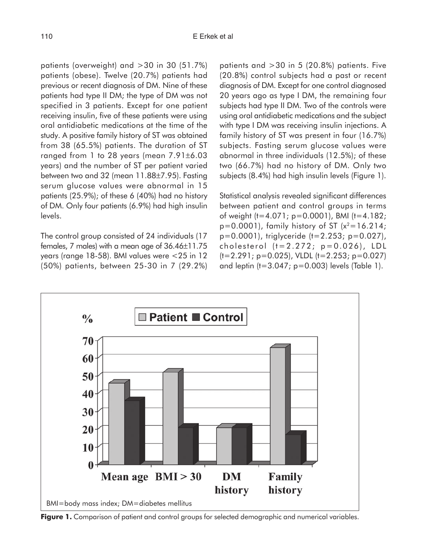patients (overweight) and >30 in 30 (51.7%) patients (obese). Twelve (20.7%) patients had previous or recent diagnosis of DM. Nine of these patients had type II DM; the type of DM was not specified in 3 patients. Except for one patient receiving insulin, five of these patients were using oral antidiabetic medications at the time of the study. A positive family history of ST was obtained from 38 (65.5%) patients. The duration of ST ranged from 1 to 28 years (mean 7.91±6.03 years) and the number of ST per patient varied between two and 32 (mean 11.88±7.95). Fasting serum glucose values were abnormal in 15 patients (25.9%); of these 6 (40%) had no history of DM. Only four patients (6.9%) had high insulin levels.

The control group consisted of 24 individuals (17 females, 7 males) with a mean age of 36.46±11.75 years (range 18-58). BMI values were <25 in 12 (50%) patients, between 25-30 in 7 (29.2%) patients and >30 in 5 (20.8%) patients. Five (20.8%) control subjects had a past or recent diagnosis of DM. Except for one control diagnosed 20 years ago as type I DM, the remaining four subjects had type II DM. Two of the controls were using oral antidiabetic medications and the subject with type I DM was receiving insulin injections. A family history of ST was present in four (16.7%) subjects. Fasting serum glucose values were abnormal in three individuals (12.5%); of these two (66.7%) had no history of DM. Only two subjects (8.4%) had high insulin levels (Figure 1).

Statistical analysis revealed significant differences between patient and control groups in terms of weight (t=4.071; p=0.0001), BMI (t=4.182;  $p=0.0001$ ), family history of ST ( $x^2=16.214$ ; p=0.0001), triglyceride (t=2.253; p=0.027), cholesterol (t=2.272; p=0.026), LDL  $(t=2.291; p=0.025)$ , VLDL  $(t=2.253; p=0.027)$ and leptin (t=3.047; p=0.003) levels (Table 1).



**Figure 1.** Comparison of patient and control groups for selected demographic and numerical variables.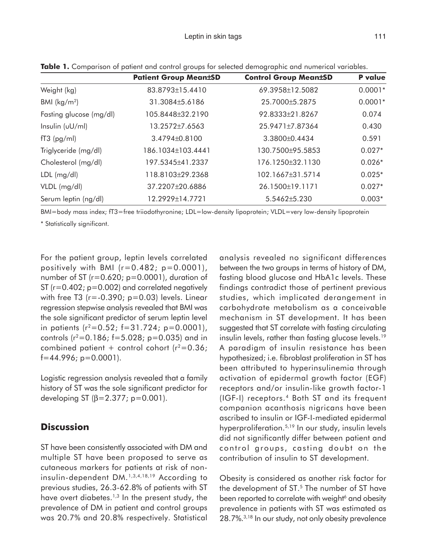|                         | <b>Patient Group Mean±SD</b> | <b>Control Group Mean±SD</b> | P value   |
|-------------------------|------------------------------|------------------------------|-----------|
| Weight (kg)             | 83.8793±15.4410              | 69.3958±12.5082              | $0.0001*$ |
| BMI $(kg/m2)$           | 31.3084±5.6186               | 25.7000±5.2875               | $0.0001*$ |
| Fasting glucose (mg/dl) | 105.8448±32.2190             | 92.8333±21.8267              | 0.074     |
| Insulin (vU/ml)         | 13.2572±7.6563               | 25.9471±7.87364              | 0.430     |
| $fT3$ (pg/ml)           | 3.4794±0.8100                | 3.3800±0.4434                | 0.591     |
| Triglyceride (mg/dl)    | 186.1034±103.4441            | 130.7500±95.5853             | $0.027*$  |
| Cholesterol (mg/dl)     | 197.5345±41.2337             | 176.1250±32.1130             | $0.026*$  |
| $LDL$ (mg/dl)           | 118.8103±29.2368             | 102.1667±31.5714             | $0.025*$  |
| VLDL (mg/dl)            | 37.2207±20.6886              | 26.1500±19.1171              | $0.027*$  |
| Serum leptin (ng/dl)    | 12.2929±14.7721              | $5.5462 \pm 5.230$           | $0.003*$  |

**Table 1.** Comparison of patient and control groups for selected demographic and numerical variables.

BMI=body mass index; fT3=free triiodothyronine; LDL=low-density lipoprotein; VLDL=very low-density lipoprotein

\* Statistically significant.

For the patient group, leptin levels correlated positively with BMI  $(r=0.482; p=0.0001)$ , number of ST ( $r=0.620$ ;  $p=0.0001$ ), duration of ST (r=0.402; p=0.002) and correlated negatively with free T3 ( $r = -0.390$ ;  $p = 0.03$ ) levels. Linear regression stepwise analysis revealed that BMI was the sole significant predictor of serum leptin level in patients  $(r^2=0.52; f=31.724; p=0.0001)$ , controls  $(r^2=0.186; f=5.028; p=0.035)$  and in combined patient + control cohort ( $r^2$ =0.36;  $f=44.996$ ; p=0.0001).

Logistic regression analysis revealed that a family history of ST was the sole significant predictor for developing ST  $(β=2.377; p=0.001)$ .

### **Discussion**

ST have been consistently associated with DM and multiple ST have been proposed to serve as cutaneous markers for patients at risk of noninsulin-dependent DM.1,3,4,18,19 According to previous studies, 26.3-62.8% of patients with ST have overt diabetes.<sup>1,3</sup> In the present study, the prevalence of DM in patient and control groups was 20.7% and 20.8% respectively. Statistical analysis revealed no significant differences between the two groups in terms of history of DM, fasting blood glucose and HbA1c levels. These findings contradict those of pertinent previous studies, which implicated derangement in carbohydrate metabolism as a conceivable mechanism in ST development. It has been suggested that ST correlate with fasting circulating insulin levels, rather than fasting glucose levels.<sup>19</sup> A paradigm of insulin resistance has been hypothesized; i.e. fibroblast proliferation in ST has been attributed to hyperinsulinemia through activation of epidermal growth factor (EGF) receptors and/or insulin-like growth factor-1 (IGF-I) receptors.4 Both ST and its frequent companion acanthosis nigricans have been ascribed to insulin or IGF-I-mediated epidermal hyperproliferation.5,19 In our study, insulin levels did not significantly differ between patient and control groups, casting doubt on the contribution of insulin to ST development.

Obesity is considered as another risk factor for the development of ST.<sup>5</sup> The number of ST have been reported to correlate with weight<sup>6</sup> and obesity prevalence in patients with ST was estimated as 28.7%.3,18 In our study, not only obesity prevalence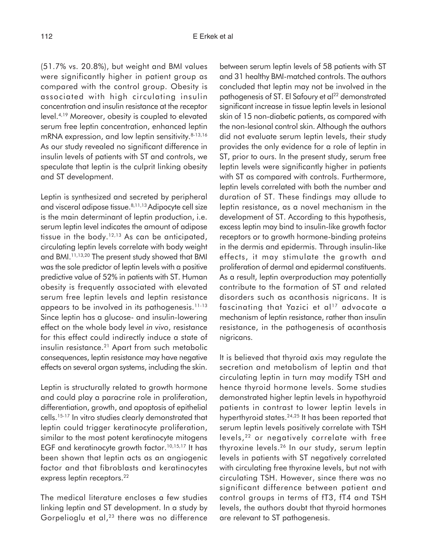(51.7% vs. 20.8%), but weight and BMI values were significantly higher in patient group as compared with the control group. Obesity is associated with high circulating insulin concentration and insulin resistance at the receptor level.4,19 Moreover, obesity is coupled to elevated serum free leptin concentration, enhanced leptin mRNA expression, and low leptin sensitivity.<sup>8-13,16</sup> As our study revealed no significant difference in insulin levels of patients with ST and controls, we speculate that leptin is the culprit linking obesity and ST development.

Leptin is synthesized and secreted by peripheral and visceral adipose tissue.<sup>8,11,13</sup> Adipocyte cell size is the main determinant of leptin production, i.e. serum leptin level indicates the amount of adipose tissue in the body.<sup>12,13</sup> As can be anticipated, circulating leptin levels correlate with body weight and BMI.11,13,20 The present study showed that BMI was the sole predictor of leptin levels with a positive predictive value of 52% in patients with ST. Human obesity is frequently associated with elevated serum free leptin levels and leptin resistance appears to be involved in its pathogenesis.11-13 Since leptin has a glucose- and insulin-lowering effect on the whole body level *in vivo*, resistance for this effect could indirectly induce a state of insulin resistance.<sup>21</sup> Apart from such metabolic consequences, leptin resistance may have negative effects on several organ systems, including the skin.

Leptin is structurally related to growth hormone and could play a paracrine role in proliferation, differentiation, growth, and apoptosis of epithelial cells.15-17 In vitro studies clearly demonstrated that leptin could trigger keratinocyte proliferation, similar to the most potent keratinocyte mitogens EGF and keratinocyte growth factor.<sup>10,15,17</sup> It has been shown that leptin acts as an angiogenic factor and that fibroblasts and keratinocytes express leptin receptors.<sup>22</sup>

The medical literature encloses a few studies linking leptin and ST development. In a study by Gorpelioglu et al,<sup>23</sup> there was no difference between serum leptin levels of 58 patients with ST and 31 healthy BMI-matched controls. The authors concluded that leptin may not be involved in the pathogenesis of ST. El Safoury et al<sup>22</sup> demonstrated significant increase in tissue leptin levels in lesional skin of 15 non-diabetic patients, as compared with the non-lesional control skin. Although the authors did not evaluate serum leptin levels, their study provides the only evidence for a role of leptin in ST, prior to ours. In the present study, serum free leptin levels were significantly higher in patients with ST as compared with controls. Furthermore, leptin levels correlated with both the number and duration of ST. These findings may allude to leptin resistance, as a novel mechanism in the development of ST. According to this hypothesis, excess leptin may bind to insulin-like growth factor receptors or to growth hormone-binding proteins in the dermis and epidermis. Through insulin-like effects, it may stimulate the growth and proliferation of dermal and epidermal constituents. As a result, leptin overproduction may potentially contribute to the formation of ST and related disorders such as acanthosis nigricans. It is fascinating that Yazici et al<sup>17</sup> advocate a mechanism of leptin resistance, rather than insulin resistance, in the pathogenesis of acanthosis nigricans.

It is believed that thyroid axis may regulate the secretion and metabolism of leptin and that circulating leptin in turn may modify TSH and hence thyroid hormone levels. Some studies demonstrated higher leptin levels in hypothyroid patients in contrast to lower leptin levels in hyperthyroid states.<sup>24,25</sup> It has been reported that serum leptin levels positively correlate with TSH levels,<sup>22</sup> or negatively correlate with free thyroxine levels.26 In our study, serum leptin levels in patients with ST negatively correlated with circulating free thyroxine levels, but not with circulating TSH. However, since there was no significant difference between patient and control groups in terms of fT3, fT4 and TSH levels, the authors doubt that thyroid hormones are relevant to ST pathogenesis.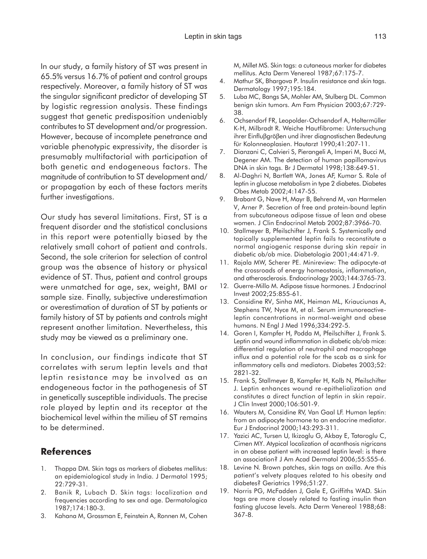In our study, a family history of ST was present in 65.5% versus 16.7% of patient and control groups respectively. Moreover, a family history of ST was the singular significant predictor of developing ST by logistic regression analysis. These findings suggest that genetic predisposition undeniably contributes to ST development and/or progression. However, because of incomplete penetrance and variable phenotypic expressivity, the disorder is presumably multifactorial with participation of both genetic and endogeneous factors. The magnitude of contribution to ST development and/ or propagation by each of these factors merits further investigations.

Our study has several limitations. First, ST is a frequent disorder and the statistical conclusions in this report were potentially biased by the relatively small cohort of patient and controls. Second, the sole criterion for selection of control group was the absence of history or physical evidence of ST. Thus, patient and control groups were unmatched for age, sex, weight, BMI or sample size. Finally, subjective underestimation or overestimation of duration of ST by patients or family history of ST by patients and controls might represent another limitation. Nevertheless, this study may be viewed as a preliminary one.

In conclusion, our findings indicate that ST correlates with serum leptin levels and that leptin resistance may be involved as an endogeneous factor in the pathogenesis of ST in genetically susceptible individuals. The precise role played by leptin and its receptor at the biochemical level within the milieu of ST remains to be determined.

### **References**

- 1. Thappa DM. Skin tags as markers of diabetes mellitus: an epidemiological study in India. J Dermatol 1995; 22:729-31.
- 2. Banik R, Lubach D. Skin tags: localization and frequencies according to sex and age. Dermatologica 1987;174:180-3.
- 3. Kahana M, Grossman E, Feinstein A, Ronnen M, Cohen

M, Millet MS. Skin tags: a cutaneous marker for diabetes mellitus. Acta Derm Venereol 1987;67:175-7.

- 4. Mathur SK, Bhargova P. Insulin resistance and skin tags. Dermatology 1997;195:184.
- 5. Luba MC, Bangs SA, Mohler AM, Stulberg DL. Common benign skin tumors. Am Fam Physician 2003;67:729- 38.
- 6. Ochsendorf FR, Leopolder-Ochsendorf A, Holtermüller K-H, Milbradt R. Weiche Hautfibrome: Untersuchung ihrer Einfluβgröβen und ihrer diagnostischen Bedeutung für Kolonneoplasien. Hautarzt 1990;41:207-11.
- 7. Dianzani C, Calvieri S, Pierangeli A, Imperi M, Bucci M, Degener AM. The detection of human papillomavirus DNA in skin tags. Br J Dermatol 1998;138:649-51.
- 8. Al-Daghri N, Bartlett WA, Jones AF, Kumar S. Role of leptin in glucose metabolism in type 2 diabetes. Diabetes Obes Metab 2002;4:147-55.
- 9. Brabant G, Nave H, Mayr B, Behrend M, van Harmelen V, Arner P. Secretion of free and protein-bound leptin from subcutaneous adipose tissue of lean and obese women. J Clin Endocrinol Metab 2002;87:3966-70.
- 10. Stallmeyer B, Pfeilschifter J, Frank S. Systemically and topically supplemented leptin fails to reconstitute a normal angiogenic response during skin repair in diabetic ob/ob mice. Diabetologia 2001;44:471-9.
- 11. Rajala MW, Scherer PE. Minireview: The adipocyte-at the crossroads of energy homeostasis, inflammation, and atherosclerosis. Endocrinology 2003;144:3765-73.
- 12. Guerre-Millo M. Adipose tissue hormones. J Endocrinol Invest 2002;25:855-61.
- 13. Considine RV, Sinha MK, Heiman ML, Kriauciunas A, Stephens TW, Nyce M, et al. Serum immunoreactiveleptin concentrations in normal-weight and obese humans. N Engl J Med 1996;334:292-5.
- 14. Goren I, Kampfer H, Podda M, Pfeilschifter J, Frank S. Leptin and wound inflammation in diabetic ob/ob mice: differential regulation of neutrophil and macrophage influx and a potential role for the scab as a sink for inflammatory cells and mediators. Diabetes 2003;52: 2821-32.
- 15. Frank S, Stallmeyer B, Kampfer H, Kolb N, Pfeilschifter J. Leptin enhances wound re-epithelialization and constitutes a direct function of leptin in skin repair. J Clin Invest 2000;106:501-9.
- 16. Wauters M, Considine RV, Van Gaal LF. Human leptin: from an adipocyte hormone to an endocrine mediator. Eur J Endocrinol 2000;143:293-311.
- 17. Yazici AC, Tursen U, Ikizoglu G, Akbay E, Tataroglu C, Cimen MY. Atypical localization of acanthosis nigricans in an obese patient with increased leptin level: is there an association? J Am Acad Dermatol 2006;55:S55-6.
- 18. Levine N. Brown patches, skin tags on axilla. Are this patient's velvety plaques related to his obesity and diabetes? Geriatrics 1996;51:27.
- 19. Norris PG, McFadden J, Gale E, Griffiths WAD. Skin tags are more closely related to fasting insulin than fasting glucose levels. Acta Derm Venereol 1988;68: 367-8.